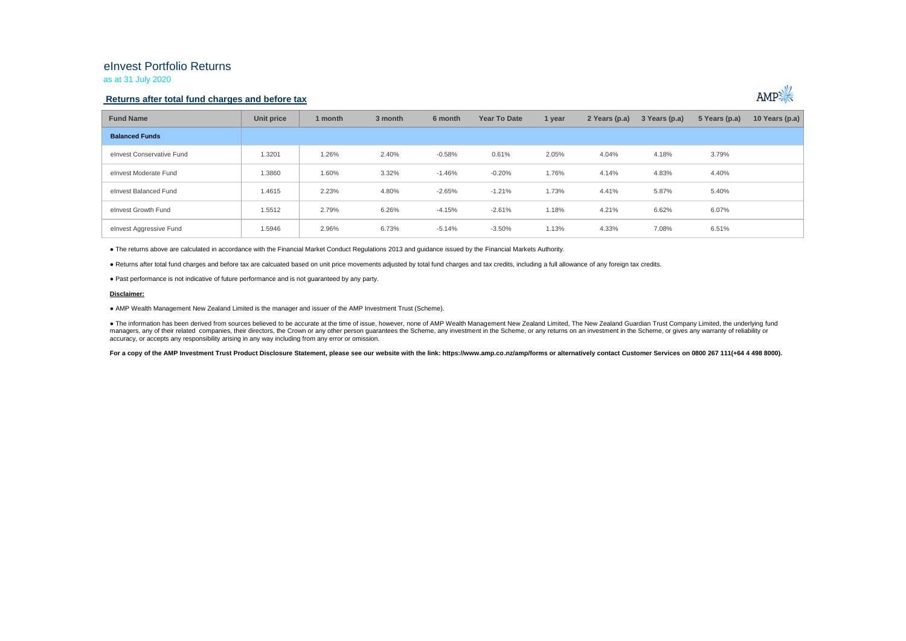## eInvest Portfolio Returns

as at 31 July 2020

### **Returns after total fund charges and before tax**



| <b>Fund Name</b>          | Unit price | 1 month | 3 month | 6 month  | Year To Date | 1 year | 2 Years (p.a) | 3 Years (p.a) | 5 Years (p.a) | 10 Years (p.a) |
|---------------------------|------------|---------|---------|----------|--------------|--------|---------------|---------------|---------------|----------------|
| <b>Balanced Funds</b>     |            |         |         |          |              |        |               |               |               |                |
| elnyest Conservative Fund | 1.3201     | 1.26%   | 2.40%   | $-0.58%$ | 0.61%        | 2.05%  | 4.04%         | 4.18%         | 3.79%         |                |
| elnvest Moderate Fund     | 1.3860     | 1.60%   | 3.32%   | $-1.46%$ | $-0.20%$     | 1.76%  | 4.14%         | 4.83%         | 4.40%         |                |
| elnvest Balanced Fund     | 1.4615     | 2.23%   | 4.80%   | $-2.65%$ | $-1.21%$     | 1.73%  | 4.41%         | 5.87%         | 5.40%         |                |
| elnvest Growth Fund       | 1.5512     | 2.79%   | 6.26%   | $-4.15%$ | $-2.61%$     | 1.18%  | 4.21%         | 6.62%         | 6.07%         |                |
| elnvest Aggressive Fund   | 1.5946     | 2.96%   | 6.73%   | $-5.14%$ | $-3.50%$     | 1.13%  | 4.33%         | 7.08%         | 6.51%         |                |

● The returns above are calculated in accordance with the Financial Market Conduct Regulations 2013 and guidance issued by the Financial Markets Authority.

● Returns after total fund charges and before tax are calcuated based on unit price movements adjusted by total fund charges and tax credits, including a full allowance of any foreign tax credits.

● Past performance is not indicative of future performance and is not guaranteed by any party.

#### **Disclaimer:**

● AMP Wealth Management New Zealand Limited is the manager and issuer of the AMP Investment Trust (Scheme).

● The information has been derived from sources believed to be accurate at the time of issue, however, none of AMP Wealth Management New Zealand Limited, The New Zealand Guardian Trust Company Limited, the underlying fund managers, any of their related companies, their directors, the Crown or any other person quarantees the Scheme, any investment in the Scheme, or any returns on an investment in the Scheme, or qives any warranty of reliabil accuracy, or accepts any responsibility arising in any way including from any error or omission.

For a copy of the AMP Investment Trust Product Disclosure Statement, please see our website with the link: https://www.amp.co.nz/amp/forms or alternatively contact Customer Services on 0800 267 111(+64 4 498 8000).